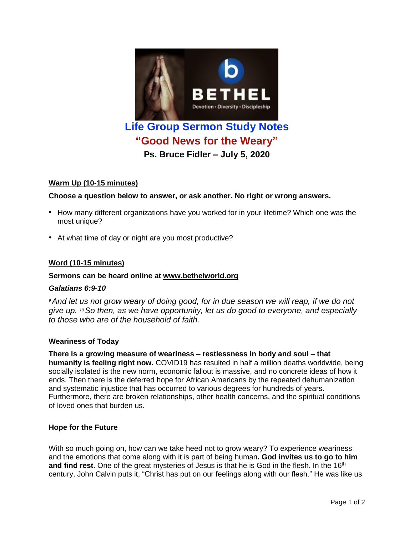

# **Warm Up (10-15 minutes)**

## **Choose a question below to answer, or ask another. No right or wrong answers.**

- How many different organizations have you worked for in your lifetime? Which one was the most unique?
- At what time of day or night are you most productive?

## **Word (10-15 minutes)**

### **Sermons can be heard online at [www.bethelworld.org](http://www.bethelworld.org/)**

### *Galatians 6:9-10*

*<sup>9</sup>And let us not grow weary of doing good, for in due season we will reap, if we do not give up. <sup>10</sup>So then, as we have opportunity, let us do good to everyone, and especially to those who are of the household of faith.*

### **Weariness of Today**

**There is a growing measure of weariness – restlessness in body and soul – that humanity is feeling right now.** COVID19 has resulted in half a million deaths worldwide, being socially isolated is the new norm, economic fallout is massive, and no concrete ideas of how it ends. Then there is the deferred hope for African Americans by the repeated dehumanization and systematic injustice that has occurred to various degrees for hundreds of years. Furthermore, there are broken relationships, other health concerns, and the spiritual conditions of loved ones that burden us.

### **Hope for the Future**

With so much going on, how can we take heed not to grow weary? To experience weariness and the emotions that come along with it is part of being human**. God invites us to go to him and find rest**. One of the great mysteries of Jesus is that he is God in the flesh. In the 16<sup>th</sup> century, John Calvin puts it, "Christ has put on our feelings along with our flesh." He was like us